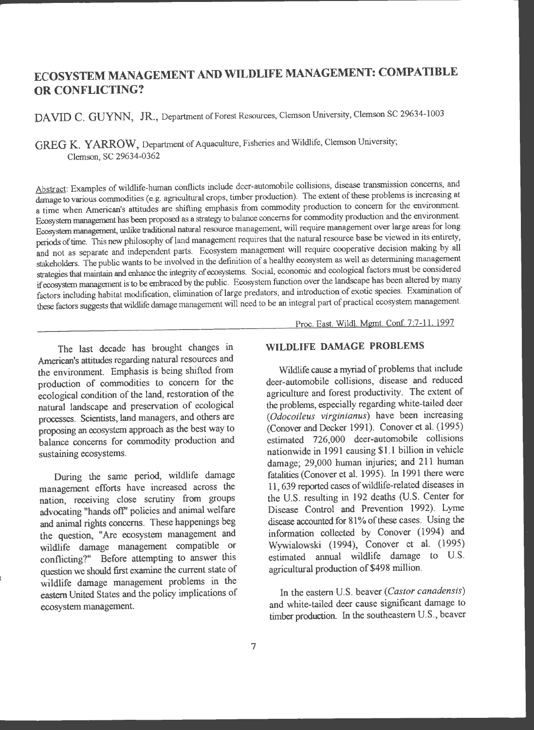# **ECOSYSTEM MANAGEMENT AND WILDLIFE MANAGEMENT: COMPATIBLE OR CONFLICTING?**

DAVID C. GUYNN, JR., Department of Forest Resources, Clemson University, Clemson SC 29634-1003

**GREG K. YARROW,** Department of Aquaculture, Fisheries and Wildlife, Clemson University; Clemson, SC 29634-0362

Abstract: Examples of wildlife-human conflicts include deer-automobile collisions, disease transmission concerns, and damage to various commodities (e.g. agricultural crops, timber production). The extent of these problems is increasing at a time when American's attitudes are shifting emphasis from commodity production to concern for the environment. Ecosystem management has been proposed as a strategy to balance concerns for commodity production and the environment. Ecosystem management, unlike traditional natural resource management, will require management over large areas for long periods of time. This new philosophy of land management requires that the natural resource base be viewed in its entirety, and not as separate and independent parts. Ecosystem management will require cooperative decision making by all stakeholders. The public wants to be involved in the definition of a healthy ecosystem as well as determining management strategies that maintain and enhance the integrity of ecosystems. Social, economic and ecological factors must be considered if ecosystem management is to be embraced by the public. Ecosystem function over the landscape has been altered by many factors including habitat modification, elimination of large predators, and introduction of exotic species. Examination of these factors suggests that wildlife damage management will need to be an integral part of practical ecosystem management.

The last decade has brought changes in American's attitudes regarding natural resources and the environment. Emphasis is being shifted from production of commodities to concern for the ecological condition of the land, restoration of the natural landscape and preservation of ecological processes. Scientists, land managers, and others are proposing an ecosystem approach as the best way to balance concerns for commodity production and sustaining ecosystems.

During the same period, wildlife damage management efforts have increased across the nation, receiving close scrutiny from groups advocating "hands off" policies and animal welfare and animal rights concerns. These happenings beg the question, "Are ecosystem management an<sup>d</sup> wildlife damage management compatible or conflicting?" Before attempting to answer this question we should first examine the current state o<sup>f</sup> wildlife damage management problems in the eastern United States and the policy implications of ecosystem management.

## **WILDLIFE DAMAGE PROBLEMS**

Proc. East. Wildl. Mgmt. Conf. 7:7-11. 1997

Wildlife cause a myriad of problems that include deer-automobile collisions, disease and reduced agriculture and forest productivity. The extent of the problems, especially regarding white-tailed deer *(Odocoileus virginianus)* have been increasing (Conover and Decker 1991). Conover et al. (1995) estimated 726,000 deer-automobile collisions nationwide in 1991 causing \$1.1 billion in vehicle damage; 29,000 human injuries; and 211 human fatalities (Conover et al. 1995). In 1991 there were 11,639 reported cases of wildlife-related diseases in the U.S. resulting in 192 deaths (U.S. Center for Disease Control and Prevention 1992). Lyme disease accounted for 81% of these cases. Using the information collected by Conover (1994) and Wywialowski (1994), Conover et al. (1995) estimated annual wildlife damage to U.S. agricultural production of \$498 million.

In the eastern U.S. beaver *(Castor canadensis)*  and white-tailed deer cause significant damage to timber production. In the southeastern U.S., beaver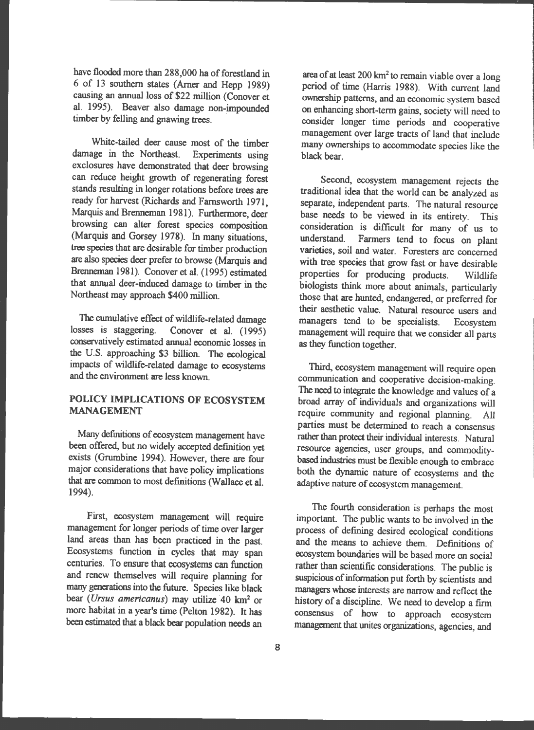have flooded more than 288,000 ha of forestland in 6 of 13 southern states (Amer and Hepp 1989) causing an annual loss of \$22 million (Conover et al. 1995). Beaver also damage non-impounded timber by felling and gnawing trees.

White-tailed deer cause most of the timber damage in the Northeast. Experiments using exclosures have demonstrated that deer browsing can reduce height growth of regenerating forest stands resulting in longer rotations before trees are ready for harvest (Richards and Farnsworth 1971, Marquis and Brenneman 1981). Furthermore, deer browsing can alter forest species composition (Marquis and Gorsey 1978). In many situations, tree species that are desirable for timber production are also species deer prefer to browse (Marquis and Brenneman 1981). Conover et al. (1995) estimated that annual deer-induced damage to timber in the Northeast may approach \$400 million.

The cumulative effect of wildlife-related damage<br>losses is staggering. Conover et al. (1995) Conover et al.  $(1995)$ conservatively estimated annual economic losses in the U.S. approaching \$3 billion. The ecological impacts of wildlife-related damage to ecosystems and the environment are less known.

### **POLICY IMPLICATIONS OF ECOSYSTEM MANAGEMENT**

Many definitions of ecosystem management have been offered, but no widely accepted definition yet exists (Grumbine 1994). However, there are four major considerations that have policy implications that are common to most definitions (Wallace et al. 1994).

First, ecosystem management will require management for longer periods of time over larger land areas than has been practiced in the past. Ecosystems function in cycles that may span centuries. To ensure that ecosystems can function and renew themselves will require planning for many generations into the future. Species like black bear *(Ursus americanus)* may utilize 40 km<sup>2</sup> or more habitat in a year's time (Pelton 1982). It has been estimated that a black bear population needs an

area of at least  $200 \text{ km}^2$  to remain viable over a long period of time (Harris 1988). With current land ownership patterns, and an economic system based on enhancing short-term gains, society will need to consider longer time periods and cooperative management over large tracts of land that include many ownerships to accommodate species like the black bear.

Second, ecosystem management rejects the traditional idea that the world can be analyzed as separate, independent parts. The natural resource base needs to be viewed in its entirety. This consideration is difficult for many of us to<br>understand. Farmers tend to focus on plant Farmers tend to focus on plant varieties, soil and water. Foresters are concerned with tree species that grow fast or have desirable properties for producing products. Wildlife biologists think more about animals, particularly those that are hunted, endangered, or preferred for their aesthetic value. Natural resource users and managers tend to be specialists. Ecosystem management will require that we consider all parts as they function together.

Third, ecosystem management will require open communication and cooperative decision-making. The need to integrate the knowledge and values of a broad array of individuals and organizations will require community and regional planning. All parties must be determined to reach a consensus rather than protect their individual interests. Natural resource agencies, user groups, and commoditybased industries must be flexible enough to embrace both the dynamic nature of ecosystems and the adaptive nature of ecosystem management.

The fourth consideration is perhaps the most important. The public wants to be involved in the process of defining desired ecological conditions and the means to achieve them. Definitions of ecosystem boundaries will be based more on social rather than scientific considerations. The public is suspicious of information put forth by scientists and managers whose interests are narrow and reflect the history of a discipline. We need to develop a firm consensus of how to approach ecosystem management that unites organizations, agencies, and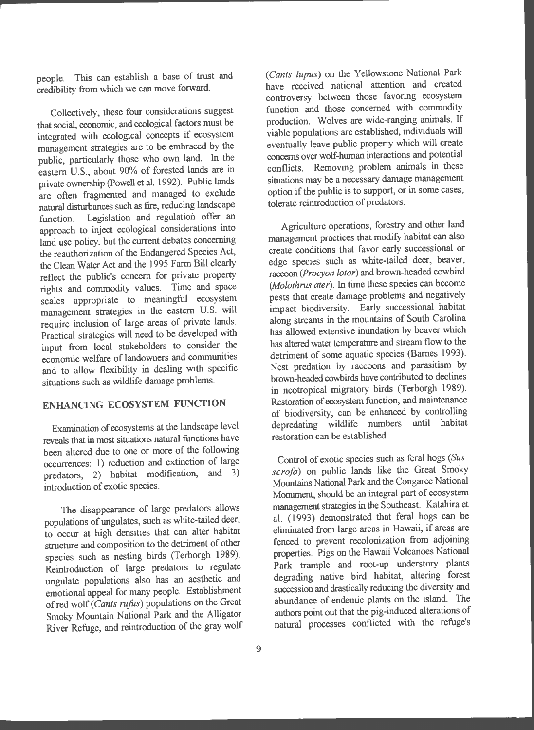people. This can establish a base of trust and credibility from which we can move forward.

Collectively, these four considerations suggest that social, economic, and ecological factors must be integrated with ecological concepts if ecosystem management strategies are to be embraced by the public, particularly those who own land. In the eastern U.S., about 90% of forested lands are in private ownership (Powell et al. 1992). Public lands are often fragmented and managed to exclude natural disturbances such as fire, reducing landscape function. Legislation and regulation offer an approach to inject ecological considerations into land use policy, but the current debates concerning the reauthorization of the Endangered Species Act, the Clean Water Act and the 1995 Farm Bill clearly reflect the public's concern for private property rights and commodity values. Time and space scales appropriate to meaningful ecosystem management strategies in the eastern U.S. will require inclusion of large areas of private lands. Practical strategies will need to be developed with input from local stakeholders to consider the economic welfare of landowners and communities and to allow flexibility in dealing with specific situations such as wildlife damage problems.

## **ENHANCING ECOSYSTEM FUNCTION**

Examination of ecosystems at the landscape level reveals that in most situations natural functions have been altered due to one or more of the following occurrences: 1) reduction and extinction of large predators, 2) habitat modification, and 3) introduction of exotic species.

The disappearance of large predators allows populations of ungulates, such as white-tailed deer, to occur at high densities that can alter habitat structure and composition to the detriment of other species such as nesting birds (Terborgh 1989). Reintroduction of large predators to regulate ungulate populations also has an aesthetic and emotional appeal for many people. Establishment of red wolf ( *Canis rufus)* populations on the Great Smoky Mountain National Park and the Alligator River Refuge, and reintroduction of the gray wolf ( *Canis lupus)* on the Yellowstone National Park have received national attention and created controversy between those favoring ecosystem function and those concerned with commodity production. Wolves are wide-ranging animals. If viable populations are established, individuals will eventually leave public property which will create concerns over wolf-human interactions and potential conflicts. Removing problem animals in these situations may be a necessary damage management option if the public is to support, or in some cases, tolerate reintroduction of predators.

Agriculture operations, forestry and other land management practices that modify habitat can also create conditions that favor early successional or edge species such as white-tailed deer, beaver, raccoon *(Procyon lotor)* and brown-headed cowbird (*Molothrus ater*). In time these species can become pests that create damage problems and negatively impact biodiversity. Early successional habitat along streams in the mountains of South Carolina has allowed extensive inundation by beaver which has altered water temperature and stream flow to the detriment of some aquatic species (Barnes 1993). Nest predation by raccoons and parasitism by brown-headed cowbirds have contributed to declines in neotropical migratory birds (Terborgh 1989). Restoration of ecosystem function, and maintenance of biodiversity, can be enhanced by controlling depredating wildlife numbers until habitat restoration can be established.

Control of exotic species such as feral hogs *(Sus scrofa)* on public lands like the Great Smoky Mountains National Park and the Congaree National Monument, should be an integral part of ecosystem management strategies in the Southeast. Katahira et al. (1993) demonstrated that feral hogs can be eliminated from large areas in Hawaii, if areas are fenced to prevent recolonization from adjoining properties. Pigs on the Hawaii Volcanoes National Park trample and root-up understory plants degrading native bird habitat, altering forest succession and drastically reducing the diversity and abundance of endemic plants on the island. The authors point out that the pig-induced alterations of natural processes conflicted with the refuge's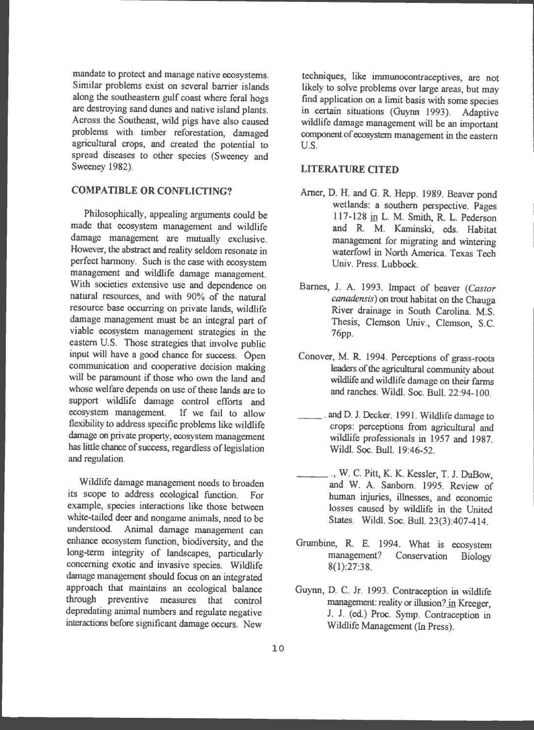mandate to protect and manage native ecosystems. Similar problems exist on several barrier islands along the southeastern gulf coast where feral hogs are destroying sand dunes and native island plants . Across the Southeast, wild pigs have also caused problems with timber reforestation, damaged agricultural crops, and created the potential to spread diseases to other species (Sweeney and Sweeney 1982).

#### **COMPATIBLE OR CONFLICTING?**

Philosophically, appealing arguments could be made that ecosystem management and wildlife damage management are mutually exclusive. However, the abstract and reality seldom resonate in perfect harmony. Such is the case with ecosystem management and wildlife damage management. With societies extensive use and dependence on natural resources, and with 90% of the natural resource base occurring on private lands, wildlife damage management must be an integral part of viable ecosystem management strategies in the eastern U.S. Those strategies that involve public input will have a good chance for success. Open communication and cooperative decision making will be paramount if those who own the land and whose welfare depends on use of these lands are to support wildlife damage control efforts and ecosystem management. If we fail to allow flexibility to address specific problems like wildlife damage on private property, ecosystem management has little chance of success, regardless of legislation and regulation.

Wildlife damage management needs to broaden its scope to address ecological function. For example, species interactions like those between white-tailed deer and nongame animals, need to be understood . Animal damage management can enhance ecosystem function, biodiversity, and the long-term integrity of landscapes, particularly concerning exotic and invasive species. Wildlife damage management should focus on an integrated approach that maintains an ecological balance through preventive measures that control depredating animal numbers and regulate negative interactions before significant damage occurs. New

techniques, like immunocontraceptives, are not likely to solve problems over large areas, but may find application on a limit basis with some species in certain situations (Guynn 1993). Adaptive wildlife damage management will be an important component of ecosystem management in the eastern U.S.

#### **LITERATURE OTED**

- Arner, D. H. and G. R. Hepp. 1989. Beaver pond wetlands: a southern perspective. Pages 117-128 in L. M. Smith, R. L. Pederson and **R M.** Kaminski, eds. Habitat management for migrating and wintering waterfowl in North America. Texas Tech Univ. Press. Lubbock .
- Barnes, J. A. 1993. Impact of beaver *(Castor canadensis)* on trout habitat on the Chauga River drainage in South Carolina. M.S. Thesis, Clemson Univ., Clemson, S.C. 76pp.
- Conover, M. R. 1994. Perceptions of grass-roots leaders of the agricultural community about wildlife and wildlife damage on their farms and ranches. Wildl. Soc. Bull. 22:94-100.
- and D. J. Decker. 1991. Wildlife damage to crops: perceptions from agricultural and wildlife professionals in 1957 and 1987. Wildl. Soc. Bull. 19:46-52.
- \_\_\_ ., W. C. Pitt, K. K. Kessler, T. J. DuBow, and W. A. Sanborn. 1995. Review of human injuries, illnesses, and economic losses caused by wildlife in the United States. Wildl. Soc. Bull. 23(3):407-414.
- Grumbine, R. E. 1994. What is ecosystem management? Conservation Biology 8(1):27:38 .
- Guynn, D. C. Jr. 1993. Contraception in wildlife management: reality or illusion? in Kreeger, J. J. (ed.) Proc. Symp. Contraception in Wildlife Management (In Press).